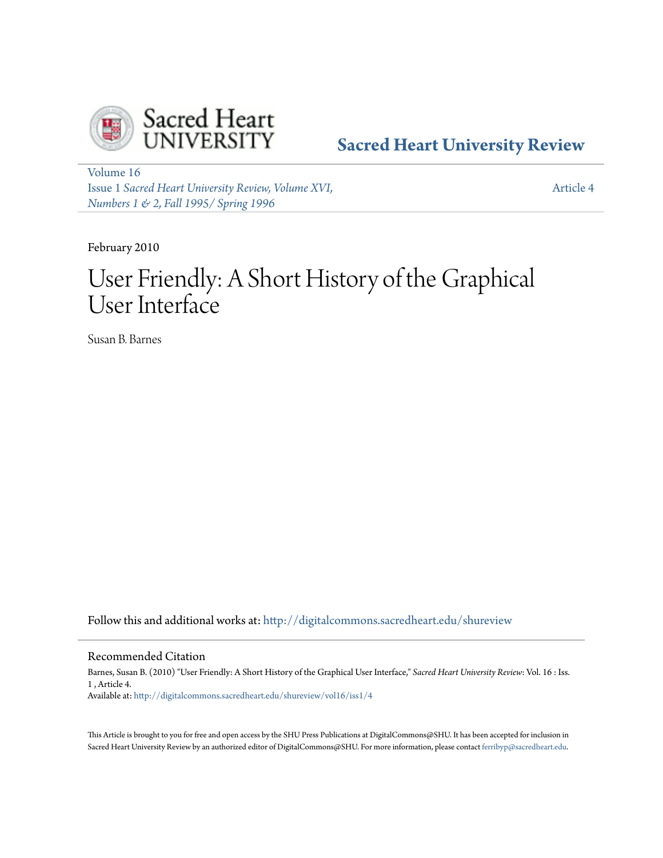

**[Sacred Heart University Review](http://digitalcommons.sacredheart.edu/shureview?utm_source=digitalcommons.sacredheart.edu%2Fshureview%2Fvol16%2Fiss1%2F4&utm_medium=PDF&utm_campaign=PDFCoverPages)**

[Volume 16](http://digitalcommons.sacredheart.edu/shureview/vol16?utm_source=digitalcommons.sacredheart.edu%2Fshureview%2Fvol16%2Fiss1%2F4&utm_medium=PDF&utm_campaign=PDFCoverPages) Issue 1 *[Sacred Heart University Review, Volume XVI,](http://digitalcommons.sacredheart.edu/shureview/vol16/iss1?utm_source=digitalcommons.sacredheart.edu%2Fshureview%2Fvol16%2Fiss1%2F4&utm_medium=PDF&utm_campaign=PDFCoverPages) [Numbers 1 & 2, Fall 1995/ Spring 1996](http://digitalcommons.sacredheart.edu/shureview/vol16/iss1?utm_source=digitalcommons.sacredheart.edu%2Fshureview%2Fvol16%2Fiss1%2F4&utm_medium=PDF&utm_campaign=PDFCoverPages)*

[Article 4](http://digitalcommons.sacredheart.edu/shureview/vol16/iss1/4?utm_source=digitalcommons.sacredheart.edu%2Fshureview%2Fvol16%2Fiss1%2F4&utm_medium=PDF&utm_campaign=PDFCoverPages)

February 2010

# User Friendly: A Short History of the Graphical User Interface

Susan B. Barnes

Follow this and additional works at: [http://digitalcommons.sacredheart.edu/shureview](http://digitalcommons.sacredheart.edu/shureview?utm_source=digitalcommons.sacredheart.edu%2Fshureview%2Fvol16%2Fiss1%2F4&utm_medium=PDF&utm_campaign=PDFCoverPages)

# Recommended Citation

Barnes, Susan B. (2010) "User Friendly: A Short History of the Graphical User Interface," *Sacred Heart University Review*: Vol. 16 : Iss. 1 , Article 4. Available at: [http://digitalcommons.sacredheart.edu/shureview/vol16/iss1/4](http://digitalcommons.sacredheart.edu/shureview/vol16/iss1/4?utm_source=digitalcommons.sacredheart.edu%2Fshureview%2Fvol16%2Fiss1%2F4&utm_medium=PDF&utm_campaign=PDFCoverPages)

This Article is brought to you for free and open access by the SHU Press Publications at DigitalCommons@SHU. It has been accepted for inclusion in Sacred Heart University Review by an authorized editor of DigitalCommons@SHU. For more information, please contact [ferribyp@sacredheart.edu](mailto:ferribyp@sacredheart.edu).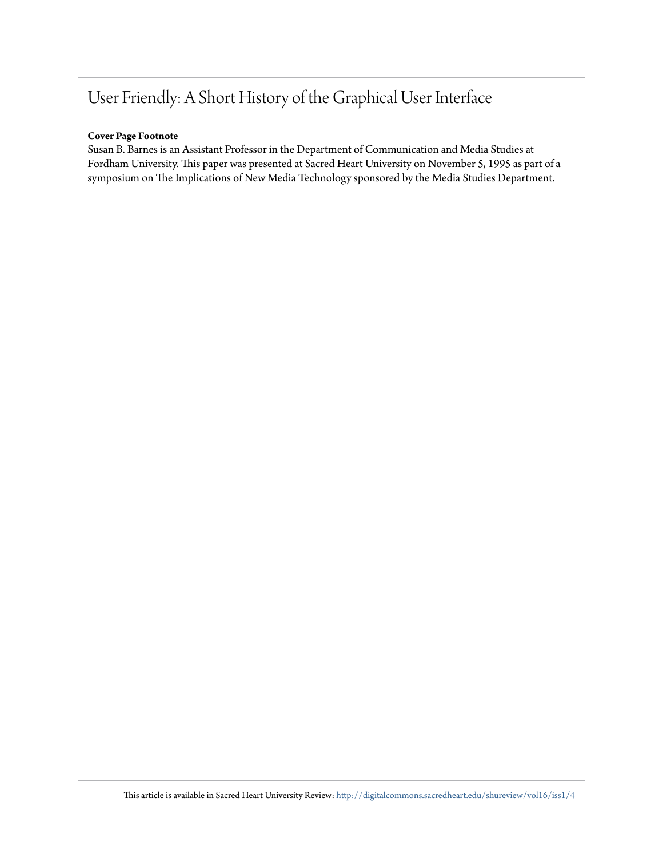# User Friendly: A Short History of the Graphical User Interface

# **Cover Page Footnote**

Susan B. Barnes is an Assistant Professor in the Department of Communication and Media Studies at Fordham University. This paper was presented at Sacred Heart University on November 5, 1995 as part of a symposium on The Implications of New Media Technology sponsored by the Media Studies Department.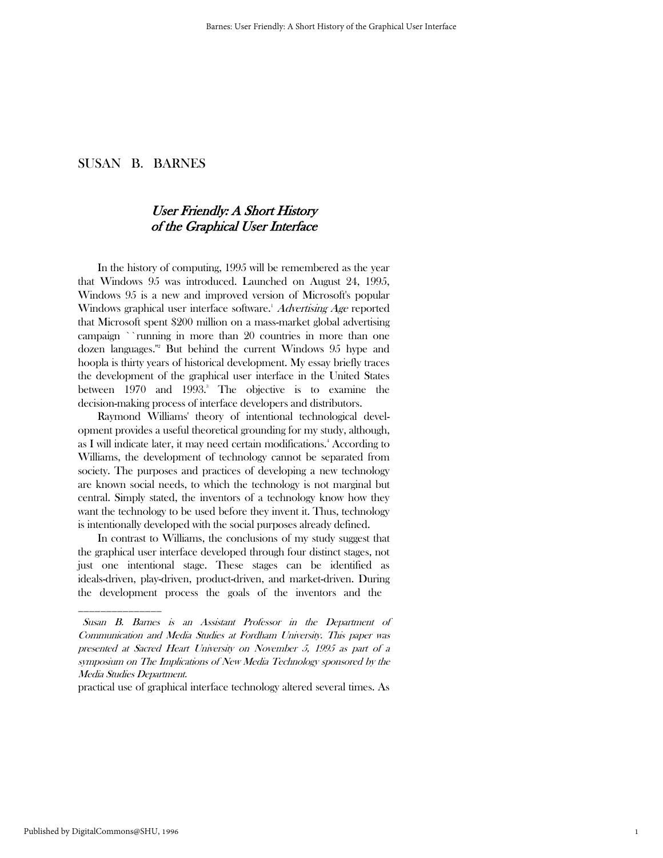# User Friendly: A Short History of the Graphical User Interface

 In the history of computing, 1995 will be remembered as the year that Windows 95 was introduced. Launched on August 24, 1995, Windows 95 is a new and improved version of Microsoft's popular Windows graphical user interface software.<sup>1</sup> Advertising Age reported that Microsoft spent \$200 million on a mass-market global advertising campaign ``running in more than 20 countries in more than one dozen languages.''<sup>2</sup> But behind the current Windows 95 hype and hoopla is thirty years of historical development. My essay briefly traces the development of the graphical user interface in the United States between 1970 and 1993.<sup>3</sup> The objective is to examine the decision-making process of interface developers and distributors.

 Raymond Williams' theory of intentional technological development provides a useful theoretical grounding for my study, although, as I will indicate later, it may need certain modifications.<sup>4</sup> According to Williams, the development of technology cannot be separated from society. The purposes and practices of developing a new technology are known social needs, to which the technology is not marginal but central. Simply stated, the inventors of a technology know how they want the technology to be used before they invent it. Thus, technology is intentionally developed with the social purposes already defined.

 In contrast to Williams, the conclusions of my study suggest that the graphical user interface developed through four distinct stages, not just one intentional stage. These stages can be identified as ideals-driven, play-driven, product-driven, and market-driven. During the development process the goals of the inventors and the

practical use of graphical interface technology altered several times. As

\_\_\_\_\_\_\_\_\_\_\_\_\_\_\_

Susan B. Barnes is an Assistant Professor in the Department of Communication and Media Studies at Fordham University. This paper was presented at Sacred Heart University on November 5, 1995 as part of a symposium on The Implications of New Media Technology sponsored by the Media Studies Department.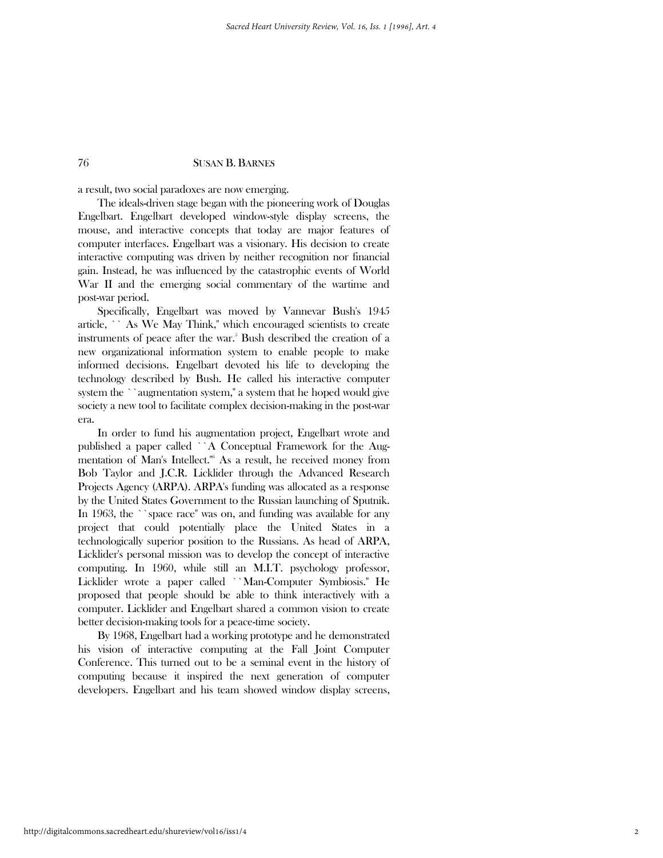a result, two social paradoxes are now emerging.

 The ideals-driven stage began with the pioneering work of Douglas Engelbart. Engelbart developed window-style display screens, the mouse, and interactive concepts that today are major features of computer interfaces. Engelbart was a visionary. His decision to create interactive computing was driven by neither recognition nor financial gain. Instead, he was influenced by the catastrophic events of World War II and the emerging social commentary of the wartime and post-war period.

 Specifically, Engelbart was moved by Vannevar Bush's 1945 article, `` As We May Think,'' which encouraged scientists to create instruments of peace after the war.<sup>5</sup> Bush described the creation of a new organizational information system to enable people to make informed decisions. Engelbart devoted his life to developing the technology described by Bush. He called his interactive computer system the ``augmentation system,'' a system that he hoped would give society a new tool to facilitate complex decision-making in the post-war era.

 In order to fund his augmentation project, Engelbart wrote and published a paper called ``A Conceptual Framework for the Augmentation of Man's Intellect.''<sup>6</sup> As a result, he received money from Bob Taylor and J.C.R. Licklider through the Advanced Research Projects Agency (ARPA). ARPA's funding was allocated as a response by the United States Government to the Russian launching of Sputnik. In 1963, the ``space race'' was on, and funding was available for any project that could potentially place the United States in a technologically superior position to the Russians. As head of ARPA, Licklider's personal mission was to develop the concept of interactive computing. In 1960, while still an M.I.T. psychology professor, Licklider wrote a paper called ``Man-Computer Symbiosis.'' He proposed that people should be able to think interactively with a computer. Licklider and Engelbart shared a common vision to create better decision-making tools for a peace-time society.

 By 1968, Engelbart had a working prototype and he demonstrated his vision of interactive computing at the Fall Joint Computer Conference. This turned out to be a seminal event in the history of computing because it inspired the next generation of computer developers. Engelbart and his team showed window display screens,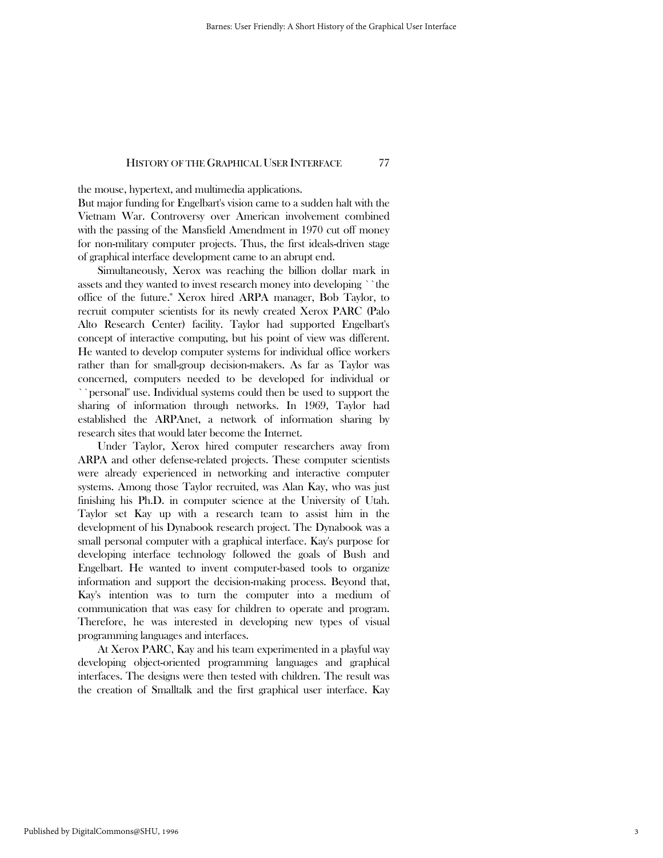the mouse, hypertext, and multimedia applications.

But major funding for Engelbart's vision came to a sudden halt with the Vietnam War. Controversy over American involvement combined with the passing of the Mansfield Amendment in 1970 cut off money for non-military computer projects. Thus, the first ideals-driven stage of graphical interface development came to an abrupt end.

 Simultaneously, Xerox was reaching the billion dollar mark in assets and they wanted to invest research money into developing ``the office of the future.'' Xerox hired ARPA manager, Bob Taylor, to recruit computer scientists for its newly created Xerox PARC (Palo Alto Research Center) facility. Taylor had supported Engelbart's concept of interactive computing, but his point of view was different. He wanted to develop computer systems for individual office workers rather than for small-group decision-makers. As far as Taylor was concerned, computers needed to be developed for individual or ``personal'' use. Individual systems could then be used to support the sharing of information through networks. In 1969, Taylor had established the ARPAnet, a network of information sharing by research sites that would later become the Internet.

 Under Taylor, Xerox hired computer researchers away from ARPA and other defense-related projects. These computer scientists were already experienced in networking and interactive computer systems. Among those Taylor recruited, was Alan Kay, who was just finishing his Ph.D. in computer science at the University of Utah. Taylor set Kay up with a research team to assist him in the development of his Dynabook research project. The Dynabook was a small personal computer with a graphical interface. Kay's purpose for developing interface technology followed the goals of Bush and Engelbart. He wanted to invent computer-based tools to organize information and support the decision-making process. Beyond that, Kay's intention was to turn the computer into a medium of communication that was easy for children to operate and program. Therefore, he was interested in developing new types of visual programming languages and interfaces.

 At Xerox PARC, Kay and his team experimented in a playful way developing object-oriented programming languages and graphical interfaces. The designs were then tested with children. The result was the creation of Smalltalk and the first graphical user interface. Kay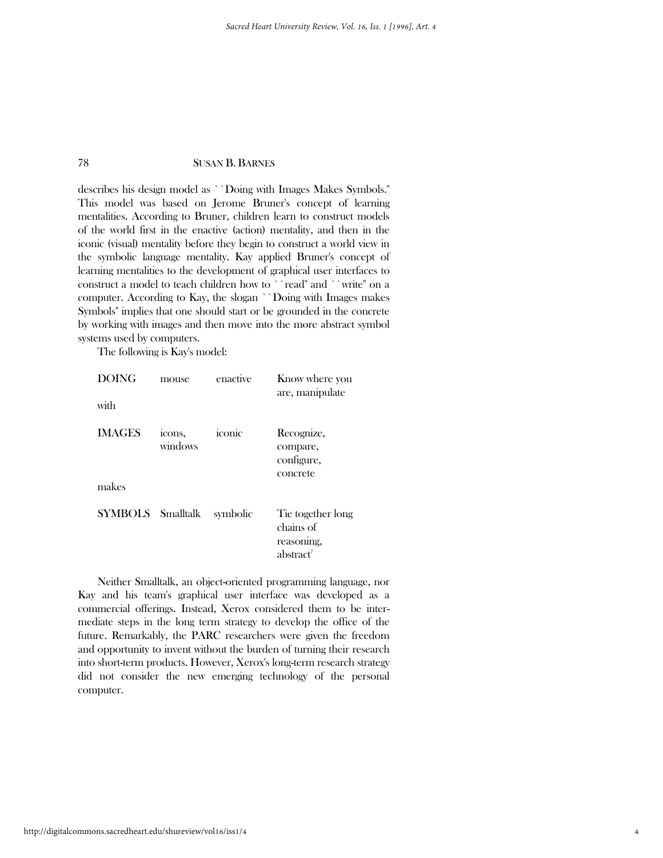describes his design model as ``Doing with Images Makes Symbols.'' This model was based on Jerome Bruner's concept of learning mentalities. According to Bruner, children learn to construct models of the world first in the enactive (action) mentality, and then in the iconic (visual) mentality before they begin to construct a world view in the symbolic language mentality. Kay applied Bruner's concept of learning mentalities to the development of graphical user interfaces to construct a model to teach children how to ``read" and ``write" on a computer. According to Kay, the slogan ``Doing with Images makes Symbols'' implies that one should start or be grounded in the concrete by working with images and then move into the more abstract symbol systems used by computers.

The following is Kay's model:

| <b>DOING</b><br>with   | mouse             | enactive | Know where you<br>are, manipulate                                     |
|------------------------|-------------------|----------|-----------------------------------------------------------------------|
| <b>IMAGES</b><br>makes | icons,<br>windows | iconic   | Recognize,<br>compare,<br>configure,<br>concrete                      |
| SYMBOLS Smalltalk      |                   | symbolic | Tie together long<br>chains of<br>reasoning,<br>abstract <sup>7</sup> |

 Neither Smalltalk, an object-oriented programming language, nor Kay and his team's graphical user interface was developed as a commercial offerings. Instead, Xerox considered them to be intermediate steps in the long term strategy to develop the office of the future. Remarkably, the PARC researchers were given the freedom and opportunity to invent without the burden of turning their research into short-term products. However, Xerox's long-term research strategy did not consider the new emerging technology of the personal computer.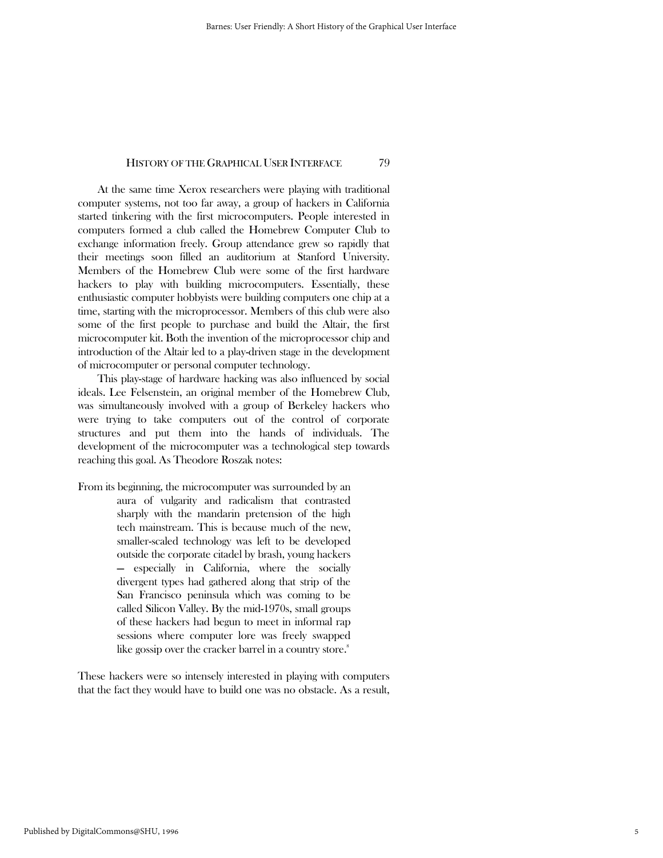At the same time Xerox researchers were playing with traditional computer systems, not too far away, a group of hackers in California started tinkering with the first microcomputers. People interested in computers formed a club called the Homebrew Computer Club to exchange information freely. Group attendance grew so rapidly that their meetings soon filled an auditorium at Stanford University. Members of the Homebrew Club were some of the first hardware hackers to play with building microcomputers. Essentially, these enthusiastic computer hobbyists were building computers one chip at a time, starting with the microprocessor. Members of this club were also some of the first people to purchase and build the Altair, the first microcomputer kit. Both the invention of the microprocessor chip and introduction of the Altair led to a play-driven stage in the development of microcomputer or personal computer technology.

 This play-stage of hardware hacking was also influenced by social ideals. Lee Felsenstein, an original member of the Homebrew Club, was simultaneously involved with a group of Berkeley hackers who were trying to take computers out of the control of corporate structures and put them into the hands of individuals. The development of the microcomputer was a technological step towards reaching this goal. As Theodore Roszak notes:

From its beginning, the microcomputer was surrounded by an aura of vulgarity and radicalism that contrasted sharply with the mandarin pretension of the high tech mainstream. This is because much of the new, smaller-scaled technology was left to be developed outside the corporate citadel by brash, young hackers — especially in California, where the socially divergent types had gathered along that strip of the San Francisco peninsula which was coming to be called Silicon Valley. By the mid-1970s, small groups of these hackers had begun to meet in informal rap sessions where computer lore was freely swapped like gossip over the cracker barrel in a country store.<sup>8</sup>

These hackers were so intensely interested in playing with computers that the fact they would have to build one was no obstacle. As a result,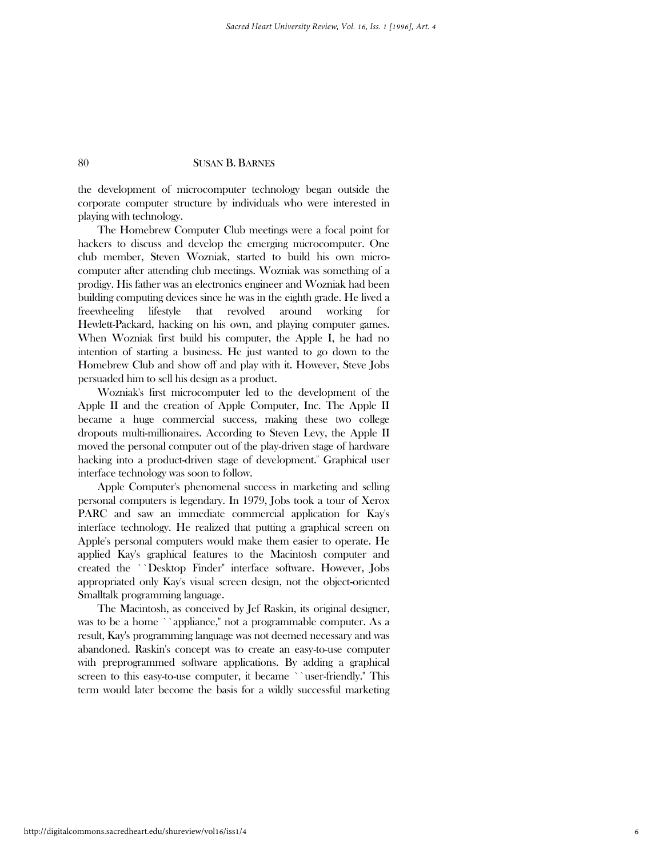the development of microcomputer technology began outside the corporate computer structure by individuals who were interested in playing with technology.

 The Homebrew Computer Club meetings were a focal point for hackers to discuss and develop the emerging microcomputer. One club member, Steven Wozniak, started to build his own microcomputer after attending club meetings. Wozniak was something of a prodigy. His father was an electronics engineer and Wozniak had been building computing devices since he was in the eighth grade. He lived a freewheeling lifestyle that revolved around working for Hewlett-Packard, hacking on his own, and playing computer games. When Wozniak first build his computer, the Apple I, he had no intention of starting a business. He just wanted to go down to the Homebrew Club and show off and play with it. However, Steve Jobs persuaded him to sell his design as a product.

 Wozniak's first microcomputer led to the development of the Apple II and the creation of Apple Computer, Inc. The Apple II became a huge commercial success, making these two college dropouts multi-millionaires. According to Steven Levy, the Apple II moved the personal computer out of the play-driven stage of hardware hacking into a product-driven stage of development.<sup>9</sup> Graphical user interface technology was soon to follow.

 Apple Computer's phenomenal success in marketing and selling personal computers is legendary. In 1979, Jobs took a tour of Xerox PARC and saw an immediate commercial application for Kay's interface technology. He realized that putting a graphical screen on Apple's personal computers would make them easier to operate. He applied Kay's graphical features to the Macintosh computer and created the ``Desktop Finder'' interface software. However, Jobs appropriated only Kay's visual screen design, not the object-oriented Smalltalk programming language.

 The Macintosh, as conceived by Jef Raskin, its original designer, was to be a home ``appliance,'' not a programmable computer. As a result, Kay's programming language was not deemed necessary and was abandoned. Raskin's concept was to create an easy-to-use computer with preprogrammed software applications. By adding a graphical screen to this easy-to-use computer, it became ``user-friendly.'' This term would later become the basis for a wildly successful marketing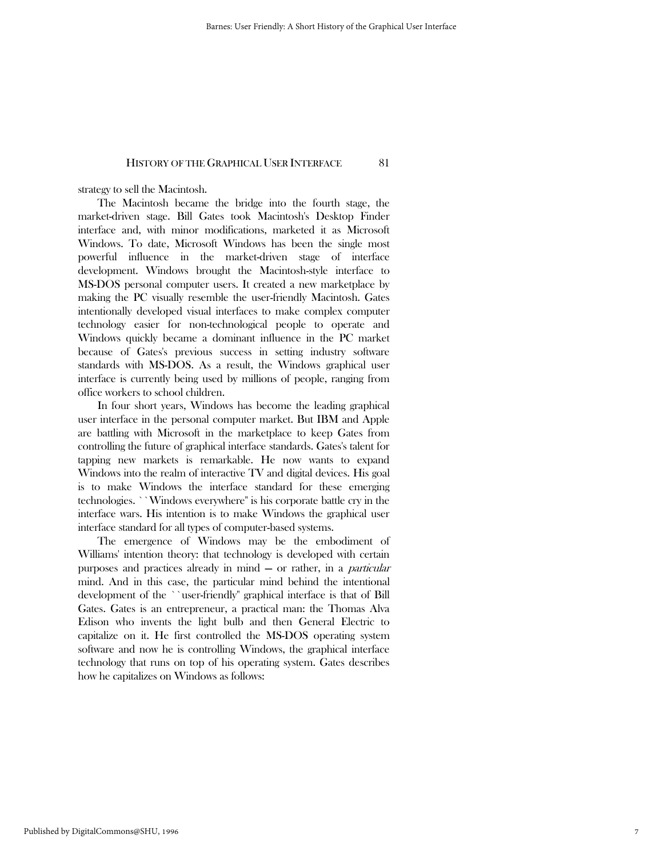strategy to sell the Macintosh.

 The Macintosh became the bridge into the fourth stage, the market-driven stage. Bill Gates took Macintosh's Desktop Finder interface and, with minor modifications, marketed it as Microsoft Windows. To date, Microsoft Windows has been the single most powerful influence in the market-driven stage of interface development. Windows brought the Macintosh-style interface to MS-DOS personal computer users. It created a new marketplace by making the PC visually resemble the user-friendly Macintosh. Gates intentionally developed visual interfaces to make complex computer technology easier for non-technological people to operate and Windows quickly became a dominant influence in the PC market because of Gates's previous success in setting industry software standards with MS-DOS. As a result, the Windows graphical user interface is currently being used by millions of people, ranging from office workers to school children.

 In four short years, Windows has become the leading graphical user interface in the personal computer market. But IBM and Apple are battling with Microsoft in the marketplace to keep Gates from controlling the future of graphical interface standards. Gates's talent for tapping new markets is remarkable. He now wants to expand Windows into the realm of interactive TV and digital devices. His goal is to make Windows the interface standard for these emerging technologies. ``Windows everywhere'' is his corporate battle cry in the interface wars. His intention is to make Windows the graphical user interface standard for all types of computer-based systems.

 The emergence of Windows may be the embodiment of Williams' intention theory: that technology is developed with certain purposes and practices already in mind — or rather, in a particular mind. And in this case, the particular mind behind the intentional development of the ``user-friendly'' graphical interface is that of Bill Gates. Gates is an entrepreneur, a practical man: the Thomas Alva Edison who invents the light bulb and then General Electric to capitalize on it. He first controlled the MS-DOS operating system software and now he is controlling Windows, the graphical interface technology that runs on top of his operating system. Gates describes how he capitalizes on Windows as follows: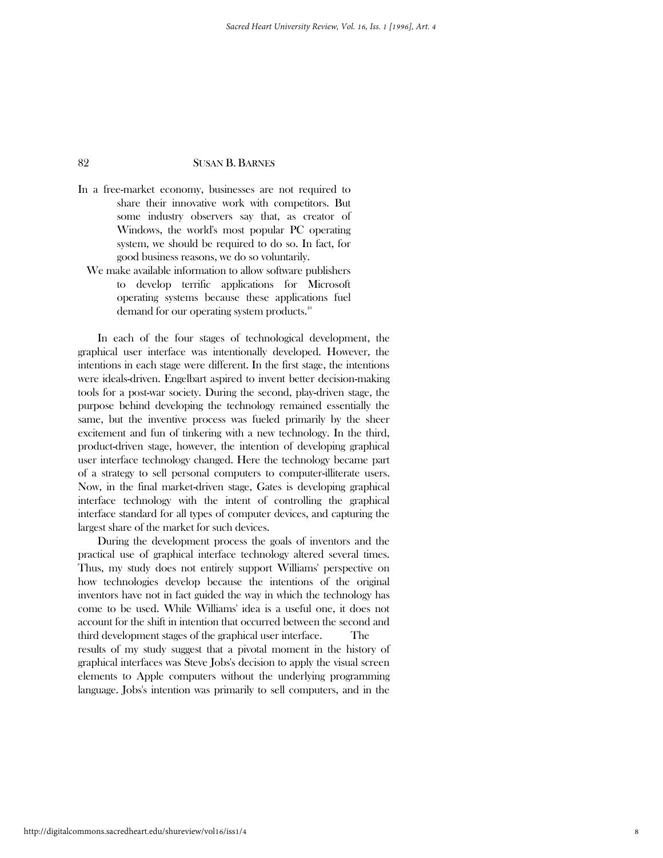- In a free-market economy, businesses are not required to share their innovative work with competitors. But some industry observers say that, as creator of Windows, the world's most popular PC operating system, we should be required to do so. In fact, for good business reasons, we do so voluntarily.
	- We make available information to allow software publishers to develop terrific applications for Microsoft operating systems because these applications fuel demand for our operating system products.<sup>10</sup>

 In each of the four stages of technological development, the graphical user interface was intentionally developed. However, the intentions in each stage were different. In the first stage, the intentions were ideals-driven. Engelbart aspired to invent better decision-making tools for a post-war society. During the second, play-driven stage, the purpose behind developing the technology remained essentially the same, but the inventive process was fueled primarily by the sheer excitement and fun of tinkering with a new technology. In the third, product-driven stage, however, the intention of developing graphical user interface technology changed. Here the technology became part of a strategy to sell personal computers to computer-illiterate users. Now, in the final market-driven stage, Gates is developing graphical interface technology with the intent of controlling the graphical interface standard for all types of computer devices, and capturing the largest share of the market for such devices.

 During the development process the goals of inventors and the practical use of graphical interface technology altered several times. Thus, my study does not entirely support Williams' perspective on how technologies develop because the intentions of the original inventors have not in fact guided the way in which the technology has come to be used. While Williams' idea is a useful one, it does not account for the shift in intention that occurred between the second and third development stages of the graphical user interface. The results of my study suggest that a pivotal moment in the history of graphical interfaces was Steve Jobs's decision to apply the visual screen elements to Apple computers without the underlying programming language. Jobs's intention was primarily to sell computers, and in the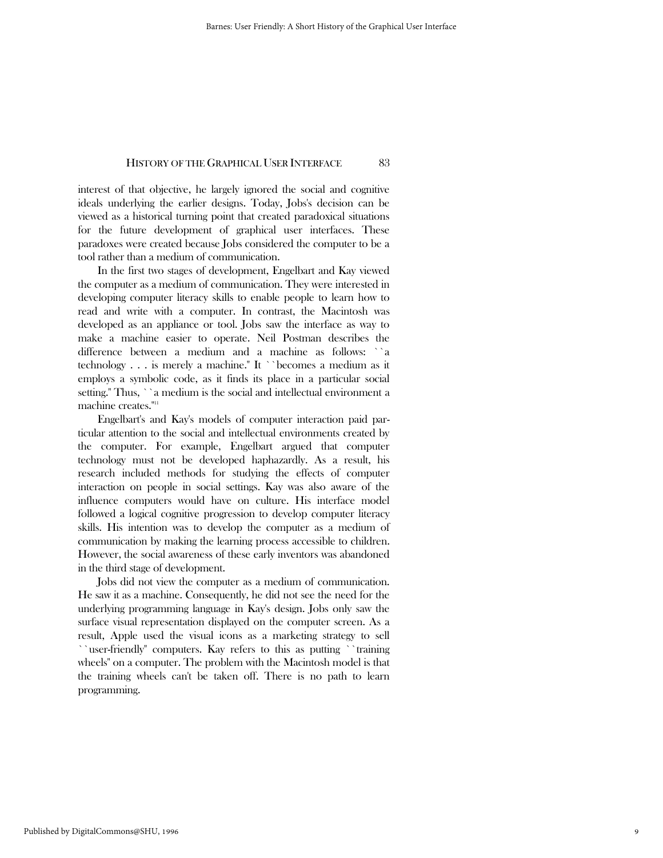interest of that objective, he largely ignored the social and cognitive ideals underlying the earlier designs. Today, Jobs's decision can be viewed as a historical turning point that created paradoxical situations for the future development of graphical user interfaces. These paradoxes were created because Jobs considered the computer to be a tool rather than a medium of communication.

 In the first two stages of development, Engelbart and Kay viewed the computer as a medium of communication. They were interested in developing computer literacy skills to enable people to learn how to read and write with a computer. In contrast, the Macintosh was developed as an appliance or tool. Jobs saw the interface as way to make a machine easier to operate. Neil Postman describes the difference between a medium and a machine as follows: ``a technology . . . is merely a machine.'' It ``becomes a medium as it employs a symbolic code, as it finds its place in a particular social setting.'' Thus, ``a medium is the social and intellectual environment a machine creates."<sup>111</sup>

 Engelbart's and Kay's models of computer interaction paid particular attention to the social and intellectual environments created by the computer. For example, Engelbart argued that computer technology must not be developed haphazardly. As a result, his research included methods for studying the effects of computer interaction on people in social settings. Kay was also aware of the influence computers would have on culture. His interface model followed a logical cognitive progression to develop computer literacy skills. His intention was to develop the computer as a medium of communication by making the learning process accessible to children. However, the social awareness of these early inventors was abandoned in the third stage of development.

 Jobs did not view the computer as a medium of communication. He saw it as a machine. Consequently, he did not see the need for the underlying programming language in Kay's design. Jobs only saw the surface visual representation displayed on the computer screen. As a result, Apple used the visual icons as a marketing strategy to sell ``user-friendly'' computers. Kay refers to this as putting ``training wheels'' on a computer. The problem with the Macintosh model is that the training wheels can't be taken off. There is no path to learn programming.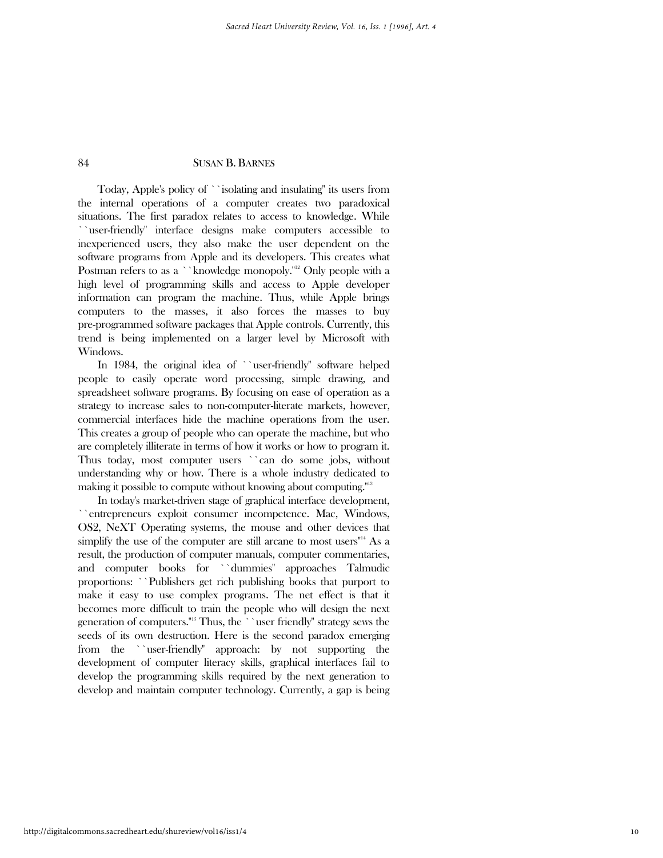Today, Apple's policy of ``isolating and insulating'' its users from the internal operations of a computer creates two paradoxical situations. The first paradox relates to access to knowledge. While ``user-friendly'' interface designs make computers accessible to inexperienced users, they also make the user dependent on the software programs from Apple and its developers. This creates what Postman refers to as a ``knowledge monopoly."<sup>12</sup> Only people with a high level of programming skills and access to Apple developer information can program the machine. Thus, while Apple brings computers to the masses, it also forces the masses to buy pre-programmed software packages that Apple controls. Currently, this trend is being implemented on a larger level by Microsoft with Windows.

 In 1984, the original idea of ``user-friendly'' software helped people to easily operate word processing, simple drawing, and spreadsheet software programs. By focusing on ease of operation as a strategy to increase sales to non-computer-literate markets, however, commercial interfaces hide the machine operations from the user. This creates a group of people who can operate the machine, but who are completely illiterate in terms of how it works or how to program it. Thus today, most computer users ``can do some jobs, without understanding why or how. There is a whole industry dedicated to making it possible to compute without knowing about computing."<sup>13</sup>

 In today's market-driven stage of graphical interface development, ``entrepreneurs exploit consumer incompetence. Mac, Windows, OS2, NeXT Operating systems, the mouse and other devices that simplify the use of the computer are still arcane to most users $^{\prime\prime\prime}$ <sup>14</sup> As a result, the production of computer manuals, computer commentaries, and computer books for ``dummies'' approaches Talmudic proportions: ``Publishers get rich publishing books that purport to make it easy to use complex programs. The net effect is that it becomes more difficult to train the people who will design the next generation of computers.''15 Thus, the ``user friendly'' strategy sews the seeds of its own destruction. Here is the second paradox emerging from the ``user-friendly'' approach: by not supporting the development of computer literacy skills, graphical interfaces fail to develop the programming skills required by the next generation to develop and maintain computer technology. Currently, a gap is being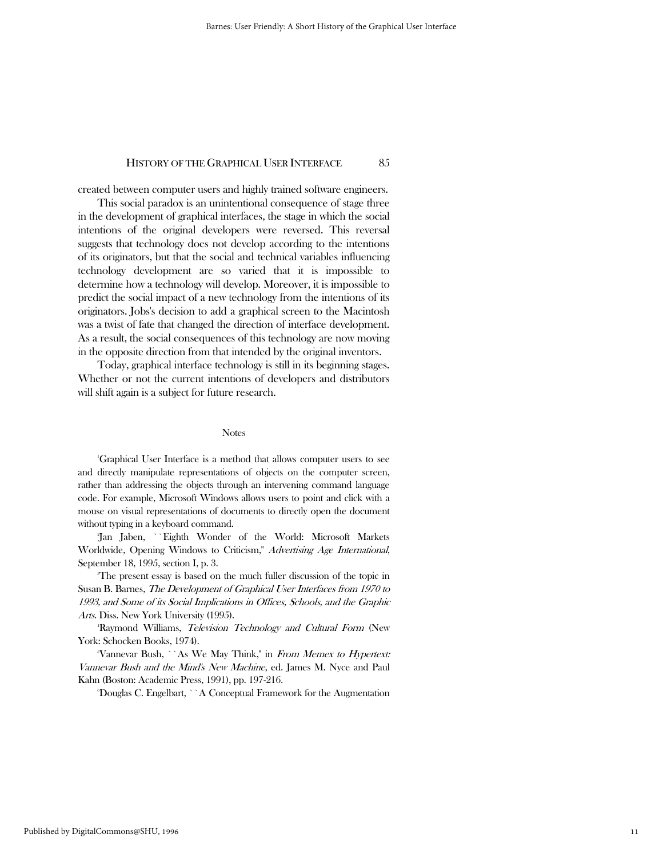created between computer users and highly trained software engineers.

 This social paradox is an unintentional consequence of stage three in the development of graphical interfaces, the stage in which the social intentions of the original developers were reversed. This reversal suggests that technology does not develop according to the intentions of its originators, but that the social and technical variables influencing technology development are so varied that it is impossible to determine how a technology will develop. Moreover, it is impossible to predict the social impact of a new technology from the intentions of its originators. Jobs's decision to add a graphical screen to the Macintosh was a twist of fate that changed the direction of interface development. As a result, the social consequences of this technology are now moving in the opposite direction from that intended by the original inventors.

 Today, graphical interface technology is still in its beginning stages. Whether or not the current intentions of developers and distributors will shift again is a subject for future research.

#### **Notes**

<sup>1</sup>Graphical User Interface is a method that allows computer users to see and directly manipulate representations of objects on the computer screen, rather than addressing the objects through an intervening command language code. For example, Microsoft Windows allows users to point and click with a mouse on visual representations of documents to directly open the document without typing in a keyboard command.

<sup>2</sup>Jan Jaben, ``Eighth Wonder of the World: Microsoft Markets Worldwide, Opening Windows to Criticism," Advertising Age International, September 18, 1995, section I, p. 3.

<sup>3</sup>The present essay is based on the much fuller discussion of the topic in Susan B. Barnes, The Development of Graphical User Interfaces from 1970 to 1993, and Some of its Social Implications in Offices, Schools, and the Graphic Arts. Diss. New York University (1995).

<sup>4</sup>Raymond Williams, *Television Technology and Cultural Form* (New York: Schocken Books, 1974).

"Vannevar Bush, ``As We May Think," in From Memex to Hypertext: Vannevar Bush and the Mind's New Machine, ed. James M. Nyce and Paul Kahn (Boston: Academic Press, 1991), pp. 197-216.

<sup>6</sup>Douglas C. Engelbart, ``A Conceptual Framework for the Augmentation